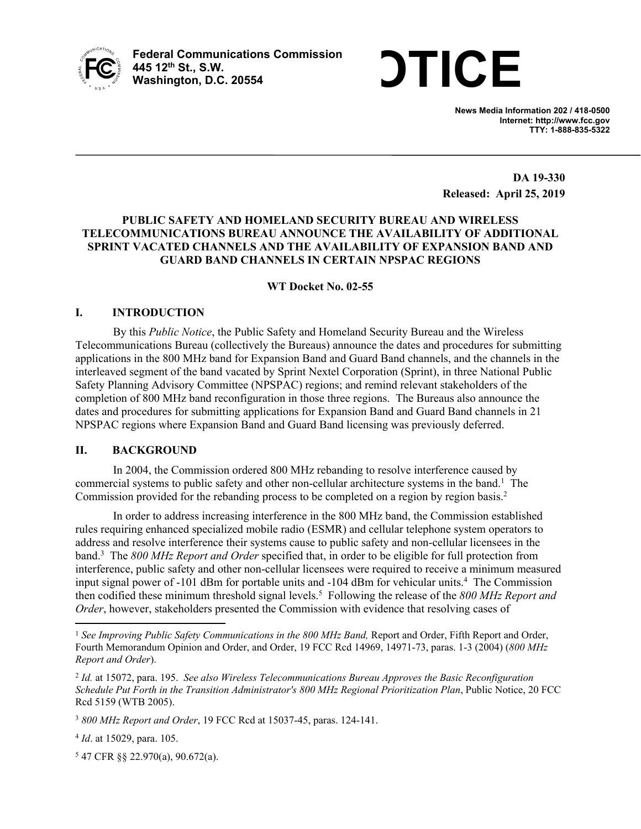

Federal Communications Commission<br>445 12<sup>th</sup> St., S.W.<br>Washington. D.C. 20554 **445 12th St., S.W. Washington, D.C. 20554**

**News Media Information 202 / 418-0500 Internet: http://www.fcc.gov TTY: 1-888-835-5322**

**DA 19-330 Released: April 25, 2019**

# **PUBLIC SAFETY AND HOMELAND SECURITY BUREAU AND WIRELESS TELECOMMUNICATIONS BUREAU ANNOUNCE THE AVAILABILITY OF ADDITIONAL SPRINT VACATED CHANNELS AND THE AVAILABILITY OF EXPANSION BAND AND GUARD BAND CHANNELS IN CERTAIN NPSPAC REGIONS**

## **WT Docket No. 02-55**

## **I. INTRODUCTION**

By this *Public Notice*, the Public Safety and Homeland Security Bureau and the Wireless Telecommunications Bureau (collectively the Bureaus) announce the dates and procedures for submitting applications in the 800 MHz band for Expansion Band and Guard Band channels, and the channels in the interleaved segment of the band vacated by Sprint Nextel Corporation (Sprint), in three National Public Safety Planning Advisory Committee (NPSPAC) regions; and remind relevant stakeholders of the completion of 800 MHz band reconfiguration in those three regions. The Bureaus also announce the dates and procedures for submitting applications for Expansion Band and Guard Band channels in 21 NPSPAC regions where Expansion Band and Guard Band licensing was previously deferred.

## **II. BACKGROUND**

In 2004, the Commission ordered 800 MHz rebanding to resolve interference caused by commercial systems to public safety and other non-cellular architecture systems in the band.<sup>1</sup> The Commission provided for the rebanding process to be completed on a region by region basis.<sup>2</sup>

In order to address increasing interference in the 800 MHz band, the Commission established rules requiring enhanced specialized mobile radio (ESMR) and cellular telephone system operators to address and resolve interference their systems cause to public safety and non-cellular licensees in the band. 3 The *800 MHz Report and Order* specified that, in order to be eligible for full protection from interference, public safety and other non-cellular licensees were required to receive a minimum measured input signal power of -101 dBm for portable units and -104 dBm for vehicular units.<sup>4</sup> The Commission then codified these minimum threshold signal levels.<sup>5</sup> Following the release of the *800 MHz Report and Order*, however, stakeholders presented the Commission with evidence that resolving cases of

5 47 CFR §§ 22.970(a), 90.672(a).

<sup>1</sup> *See Improving Public Safety Communications in the 800 MHz Band,* Report and Order, Fifth Report and Order, Fourth Memorandum Opinion and Order, and Order, 19 FCC Rcd 14969, 14971-73, paras. 1-3 (2004) (*800 MHz Report and Order*).

<sup>2</sup> *Id.* at 15072, para. 195. *See also Wireless Telecommunications Bureau Approves the Basic Reconfiguration Schedule Put Forth in the Transition Administrator's 800 MHz Regional Prioritization Plan*, Public Notice, 20 FCC Rcd 5159 (WTB 2005).

<sup>3</sup> *800 MHz Report and Order*, 19 FCC Rcd at 15037-45, paras. 124-141.

<sup>4</sup> *Id*. at 15029, para. 105.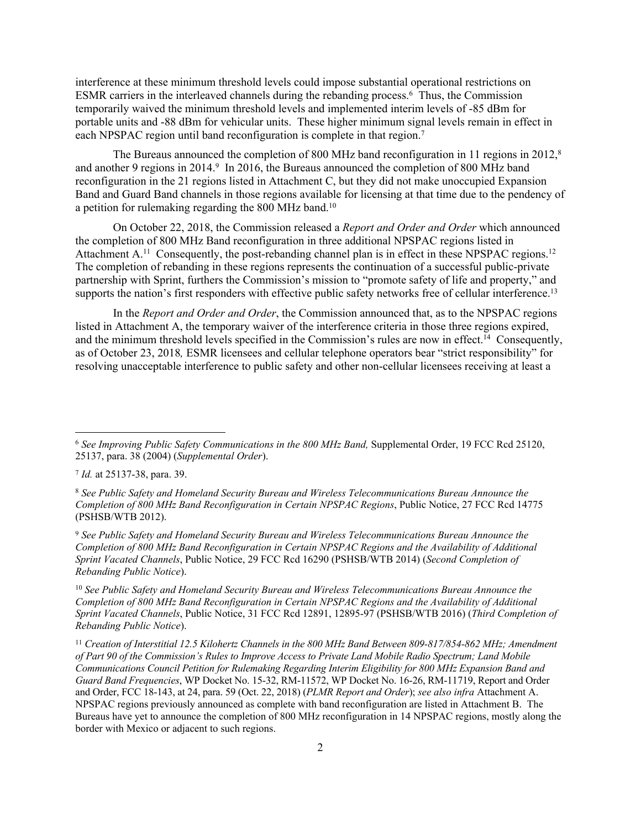interference at these minimum threshold levels could impose substantial operational restrictions on ESMR carriers in the interleaved channels during the rebanding process.<sup>6</sup> Thus, the Commission temporarily waived the minimum threshold levels and implemented interim levels of -85 dBm for portable units and -88 dBm for vehicular units. These higher minimum signal levels remain in effect in each NPSPAC region until band reconfiguration is complete in that region.<sup>7</sup>

The Bureaus announced the completion of 800 MHz band reconfiguration in 11 regions in 2012,<sup>8</sup> and another 9 regions in 2014.<sup>9</sup> In 2016, the Bureaus announced the completion of 800 MHz band reconfiguration in the 21 regions listed in Attachment C, but they did not make unoccupied Expansion Band and Guard Band channels in those regions available for licensing at that time due to the pendency of a petition for rulemaking regarding the 800 MHz band.<sup>10</sup>

On October 22, 2018, the Commission released a *Report and Order and Order* which announced the completion of 800 MHz Band reconfiguration in three additional NPSPAC regions listed in Attachment A.<sup>11</sup> Consequently, the post-rebanding channel plan is in effect in these NPSPAC regions.<sup>12</sup> The completion of rebanding in these regions represents the continuation of a successful public-private partnership with Sprint, furthers the Commission's mission to "promote safety of life and property," and supports the nation's first responders with effective public safety networks free of cellular interference.<sup>13</sup>

In the *Report and Order and Order*, the Commission announced that, as to the NPSPAC regions listed in Attachment A, the temporary waiver of the interference criteria in those three regions expired, and the minimum threshold levels specified in the Commission's rules are now in effect.<sup>14</sup> Consequently, as of October 23, 2018*,* ESMR licensees and cellular telephone operators bear "strict responsibility" for resolving unacceptable interference to public safety and other non-cellular licensees receiving at least a

<sup>9</sup> *See Public Safety and Homeland Security Bureau and Wireless Telecommunications Bureau Announce the Completion of 800 MHz Band Reconfiguration in Certain NPSPAC Regions and the Availability of Additional Sprint Vacated Channels*, Public Notice, 29 FCC Rcd 16290 (PSHSB/WTB 2014) (*Second Completion of Rebanding Public Notice*).

<sup>10</sup> *See Public Safety and Homeland Security Bureau and Wireless Telecommunications Bureau Announce the Completion of 800 MHz Band Reconfiguration in Certain NPSPAC Regions and the Availability of Additional Sprint Vacated Channels*, Public Notice, 31 FCC Rcd 12891, 12895-97 (PSHSB/WTB 2016) (*Third Completion of Rebanding Public Notice*).

<sup>6</sup> *See Improving Public Safety Communications in the 800 MHz Band,* Supplemental Order, 19 FCC Rcd 25120, 25137, para. 38 (2004) (*Supplemental Order*).

<sup>7</sup> *Id.* at 25137-38, para. 39.

<sup>8</sup> *See Public Safety and Homeland Security Bureau and Wireless Telecommunications Bureau Announce the Completion of 800 MHz Band Reconfiguration in Certain NPSPAC Regions*, Public Notice, 27 FCC Rcd 14775 (PSHSB/WTB 2012).

<sup>11</sup> *Creation of Interstitial 12.5 Kilohertz Channels in the 800 MHz Band Between 809-817/854-862 MHz; Amendment of Part 90 of the Commission's Rules to Improve Access to Private Land Mobile Radio Spectrum; Land Mobile Communications Council Petition for Rulemaking Regarding Interim Eligibility for 800 MHz Expansion Band and Guard Band Frequencies*, WP Docket No. 15-32, RM-11572, WP Docket No. 16-26, RM-11719, Report and Order and Order, FCC 18-143, at 24, para. 59 (Oct. 22, 2018) (*PLMR Report and Order*); *see also infra* Attachment A. NPSPAC regions previously announced as complete with band reconfiguration are listed in Attachment B. The Bureaus have yet to announce the completion of 800 MHz reconfiguration in 14 NPSPAC regions, mostly along the border with Mexico or adjacent to such regions.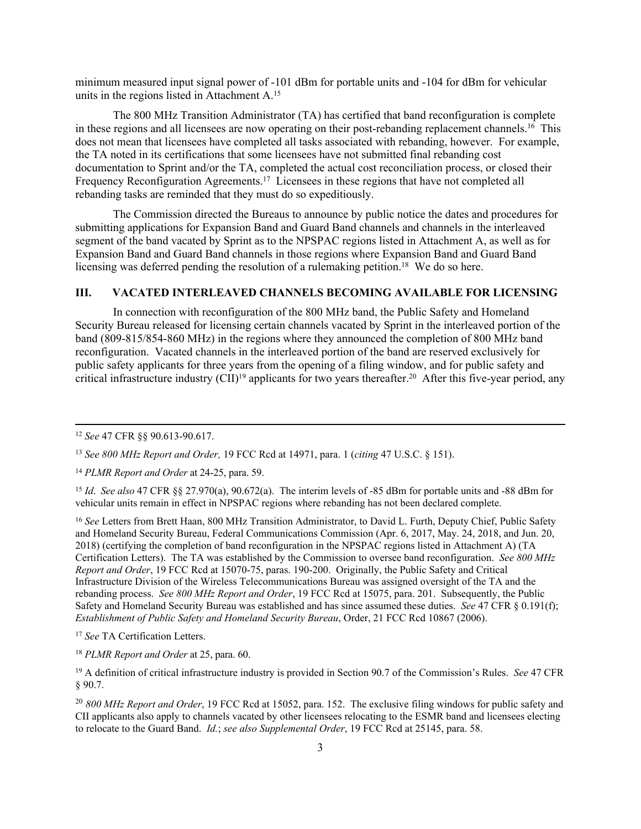minimum measured input signal power of -101 dBm for portable units and -104 for dBm for vehicular units in the regions listed in Attachment A.<sup>15</sup>

The 800 MHz Transition Administrator (TA) has certified that band reconfiguration is complete in these regions and all licensees are now operating on their post-rebanding replacement channels.<sup>16</sup> This does not mean that licensees have completed all tasks associated with rebanding, however. For example, the TA noted in its certifications that some licensees have not submitted final rebanding cost documentation to Sprint and/or the TA, completed the actual cost reconciliation process, or closed their Frequency Reconfiguration Agreements.<sup>17</sup> Licensees in these regions that have not completed all rebanding tasks are reminded that they must do so expeditiously.

The Commission directed the Bureaus to announce by public notice the dates and procedures for submitting applications for Expansion Band and Guard Band channels and channels in the interleaved segment of the band vacated by Sprint as to the NPSPAC regions listed in Attachment A, as well as for Expansion Band and Guard Band channels in those regions where Expansion Band and Guard Band licensing was deferred pending the resolution of a rulemaking petition.<sup>18</sup> We do so here.

## **III. VACATED INTERLEAVED CHANNELS BECOMING AVAILABLE FOR LICENSING**

In connection with reconfiguration of the 800 MHz band, the Public Safety and Homeland Security Bureau released for licensing certain channels vacated by Sprint in the interleaved portion of the band (809-815/854-860 MHz) in the regions where they announced the completion of 800 MHz band reconfiguration. Vacated channels in the interleaved portion of the band are reserved exclusively for public safety applicants for three years from the opening of a filing window, and for public safety and critical infrastructure industry  $\text{[CII]}^{19}$  applicants for two years thereafter.<sup>20</sup> After this five-year period, any

<sup>15</sup> *Id*. *See also* 47 CFR §§ 27.970(a), 90.672(a). The interim levels of -85 dBm for portable units and -88 dBm for vehicular units remain in effect in NPSPAC regions where rebanding has not been declared complete.

<sup>16</sup> *See* Letters from Brett Haan, 800 MHz Transition Administrator, to David L. Furth, Deputy Chief, Public Safety and Homeland Security Bureau, Federal Communications Commission (Apr. 6, 2017, May. 24, 2018, and Jun. 20, 2018) (certifying the completion of band reconfiguration in the NPSPAC regions listed in Attachment A) (TA Certification Letters). The TA was established by the Commission to oversee band reconfiguration. *See 800 MHz Report and Order*, 19 FCC Rcd at 15070-75, paras. 190-200. Originally, the Public Safety and Critical Infrastructure Division of the Wireless Telecommunications Bureau was assigned oversight of the TA and the rebanding process. *See 800 MHz Report and Order*, 19 FCC Rcd at 15075, para. 201. Subsequently, the Public Safety and Homeland Security Bureau was established and has since assumed these duties. *See* 47 CFR § 0.191(f); *Establishment of Public Safety and Homeland Security Bureau*, Order, 21 FCC Rcd 10867 (2006).

<sup>17</sup> *See* TA Certification Letters.

<sup>18</sup> *PLMR Report and Order* at 25, para. 60.

<sup>19</sup> A definition of critical infrastructure industry is provided in Section 90.7 of the Commission's Rules. *See* 47 CFR § 90.7.

<sup>20</sup> *800 MHz Report and Order*, 19 FCC Rcd at 15052, para. 152. The exclusive filing windows for public safety and CII applicants also apply to channels vacated by other licensees relocating to the ESMR band and licensees electing to relocate to the Guard Band. *Id.*; *see also Supplemental Order*, 19 FCC Rcd at 25145, para. 58.

<sup>12</sup> *See* 47 CFR §§ 90.613-90.617.

<sup>13</sup> *See 800 MHz Report and Order,* 19 FCC Rcd at 14971, para. 1 (*citing* 47 U.S.C. § 151).

<sup>14</sup> *PLMR Report and Order* at 24-25, para. 59.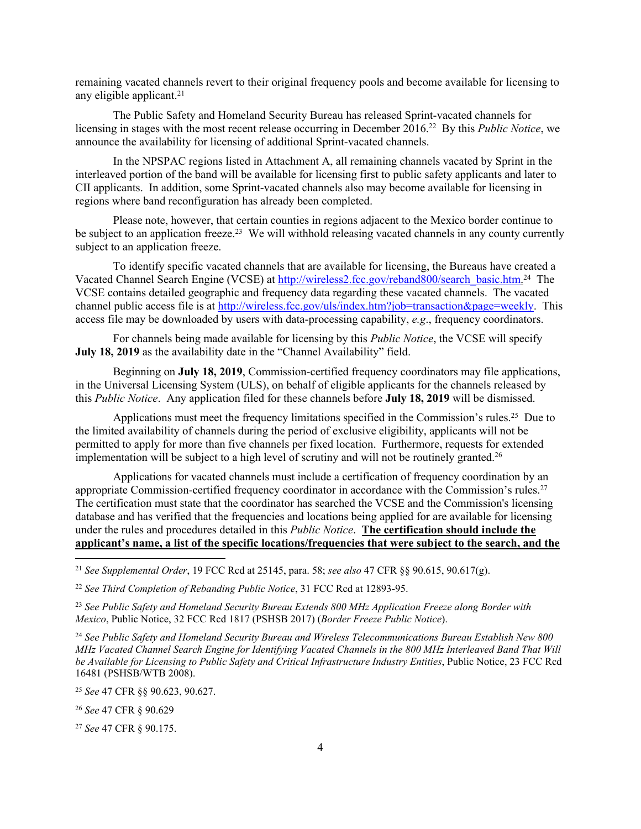remaining vacated channels revert to their original frequency pools and become available for licensing to any eligible applicant.<sup>21</sup>

The Public Safety and Homeland Security Bureau has released Sprint-vacated channels for licensing in stages with the most recent release occurring in December 2016.<sup>22</sup> By this *Public Notice*, we announce the availability for licensing of additional Sprint-vacated channels.

In the NPSPAC regions listed in Attachment A, all remaining channels vacated by Sprint in the interleaved portion of the band will be available for licensing first to public safety applicants and later to CII applicants. In addition, some Sprint-vacated channels also may become available for licensing in regions where band reconfiguration has already been completed.

Please note, however, that certain counties in regions adjacent to the Mexico border continue to be subject to an application freeze.<sup>23</sup> We will withhold releasing vacated channels in any county currently subject to an application freeze.

To identify specific vacated channels that are available for licensing, the Bureaus have created a Vacated Channel Search Engine (VCSE) at [http://wireless2.fcc.gov/reband800/search\\_basic.htm.](http://wireless2.fcc.gov/reband800/search_basic.htm)<sup>24</sup> The VCSE contains detailed geographic and frequency data regarding these vacated channels. The vacated channel public access file is at [http://wireless.fcc.gov/uls/index.htm?job=transaction&page=weekly.](http://wireless.fcc.gov/uls/index.htm?job=transaction&page=weekly) This access file may be downloaded by users with data-processing capability, *e.g*., frequency coordinators.

For channels being made available for licensing by this *Public Notice*, the VCSE will specify **July 18, 2019** as the availability date in the "Channel Availability" field.

Beginning on **July 18, 2019**, Commission-certified frequency coordinators may file applications, in the Universal Licensing System (ULS), on behalf of eligible applicants for the channels released by this *Public Notice*. Any application filed for these channels before **July 18, 2019** will be dismissed.

Applications must meet the frequency limitations specified in the Commission's rules.<sup>25</sup> Due to the limited availability of channels during the period of exclusive eligibility, applicants will not be permitted to apply for more than five channels per fixed location. Furthermore, requests for extended implementation will be subject to a high level of scrutiny and will not be routinely granted.<sup>26</sup>

Applications for vacated channels must include a certification of frequency coordination by an appropriate Commission-certified frequency coordinator in accordance with the Commission's rules.<sup>27</sup> The certification must state that the coordinator has searched the VCSE and the Commission's licensing database and has verified that the frequencies and locations being applied for are available for licensing under the rules and procedures detailed in this *Public Notice*. **The certification should include the applicant's name, a list of the specific locations/frequencies that were subject to the search, and the** 

<sup>23</sup> *See Public Safety and Homeland Security Bureau Extends 800 MHz Application Freeze along Border with Mexico*, Public Notice, 32 FCC Rcd 1817 (PSHSB 2017) (*Border Freeze Public Notice*).

<sup>24</sup> *See Public Safety and Homeland Security Bureau and Wireless Telecommunications Bureau Establish New 800 MHz Vacated Channel Search Engine for Identifying Vacated Channels in the 800 MHz Interleaved Band That Will be Available for Licensing to Public Safety and Critical Infrastructure Industry Entities*, Public Notice, 23 FCC Rcd 16481 (PSHSB/WTB 2008).

<sup>26</sup> *See* 47 CFR § 90.629

<sup>27</sup> *See* 47 CFR § 90.175.

<sup>21</sup> *See Supplemental Order*, 19 FCC Rcd at 25145, para. 58; *see also* 47 CFR §§ 90.615, 90.617(g).

<sup>22</sup> *See Third Completion of Rebanding Public Notice*, 31 FCC Rcd at 12893-95.

<sup>25</sup> *See* 47 CFR §§ 90.623, 90.627.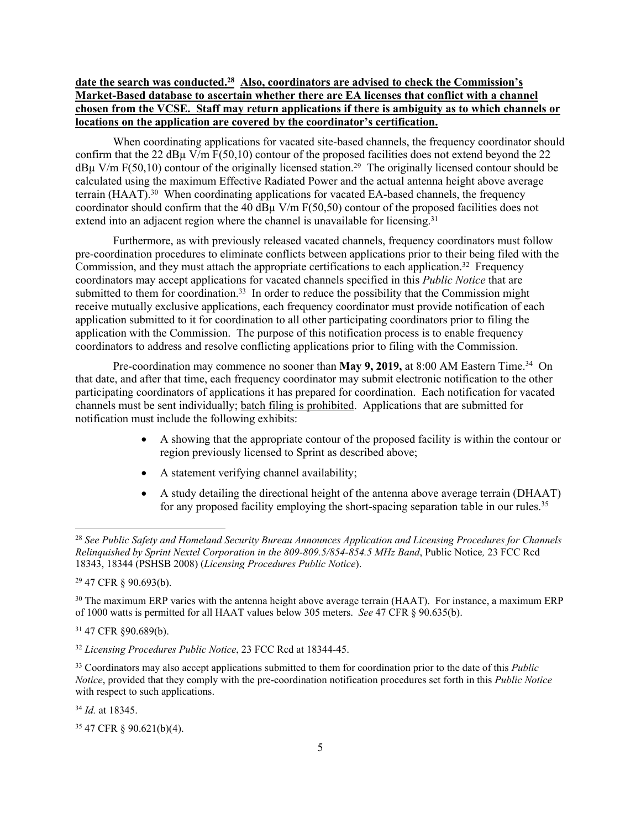## **date the search was conducted.<sup>28</sup> Also, coordinators are advised to check the Commission's Market-Based database to ascertain whether there are EA licenses that conflict with a channel chosen from the VCSE. Staff may return applications if there is ambiguity as to which channels or locations on the application are covered by the coordinator's certification.**

When coordinating applications for vacated site-based channels, the frequency coordinator should confirm that the 22 dB $\mu$  V/m F(50,10) contour of the proposed facilities does not extend beyond the 22  $dB\mu$  V/m F(50,10) contour of the originally licensed station.<sup>29</sup> The originally licensed contour should be calculated using the maximum Effective Radiated Power and the actual antenna height above average terrain (HAAT).<sup>30</sup> When coordinating applications for vacated EA-based channels, the frequency coordinator should confirm that the 40 dBµ V/m F(50,50) contour of the proposed facilities does not extend into an adjacent region where the channel is unavailable for licensing.<sup>31</sup>

Furthermore, as with previously released vacated channels, frequency coordinators must follow pre-coordination procedures to eliminate conflicts between applications prior to their being filed with the Commission, and they must attach the appropriate certifications to each application.<sup>32</sup> Frequency coordinators may accept applications for vacated channels specified in this *Public Notice* that are submitted to them for coordination.<sup>33</sup> In order to reduce the possibility that the Commission might receive mutually exclusive applications, each frequency coordinator must provide notification of each application submitted to it for coordination to all other participating coordinators prior to filing the application with the Commission. The purpose of this notification process is to enable frequency coordinators to address and resolve conflicting applications prior to filing with the Commission.

Pre-coordination may commence no sooner than **May 9, 2019,** at 8:00 AM Eastern Time.<sup>34</sup> On that date, and after that time, each frequency coordinator may submit electronic notification to the other participating coordinators of applications it has prepared for coordination. Each notification for vacated channels must be sent individually; batch filing is prohibited. Applications that are submitted for notification must include the following exhibits:

- A showing that the appropriate contour of the proposed facility is within the contour or region previously licensed to Sprint as described above;
- A statement verifying channel availability;
- A study detailing the directional height of the antenna above average terrain (DHAAT) for any proposed facility employing the short-spacing separation table in our rules.<sup>35</sup>

<sup>29</sup> 47 CFR § 90.693(b).

<sup>31</sup> 47 CFR §90.689(b).

<sup>34</sup> *Id.* at 18345.

35 47 CFR § 90.621(b)(4).

<sup>28</sup> *See Public Safety and Homeland Security Bureau Announces Application and Licensing Procedures for Channels Relinquished by Sprint Nextel Corporation in the 809-809.5/854-854.5 MHz Band*, Public Notice*,* 23 FCC Rcd 18343, 18344 (PSHSB 2008) (*Licensing Procedures Public Notice*).

<sup>&</sup>lt;sup>30</sup> The maximum ERP varies with the antenna height above average terrain (HAAT). For instance, a maximum ERP of 1000 watts is permitted for all HAAT values below 305 meters. *See* 47 CFR § 90.635(b).

<sup>32</sup> *Licensing Procedures Public Notice*, 23 FCC Rcd at 18344-45.

<sup>33</sup> Coordinators may also accept applications submitted to them for coordination prior to the date of this *Public Notice*, provided that they comply with the pre-coordination notification procedures set forth in this *Public Notice* with respect to such applications.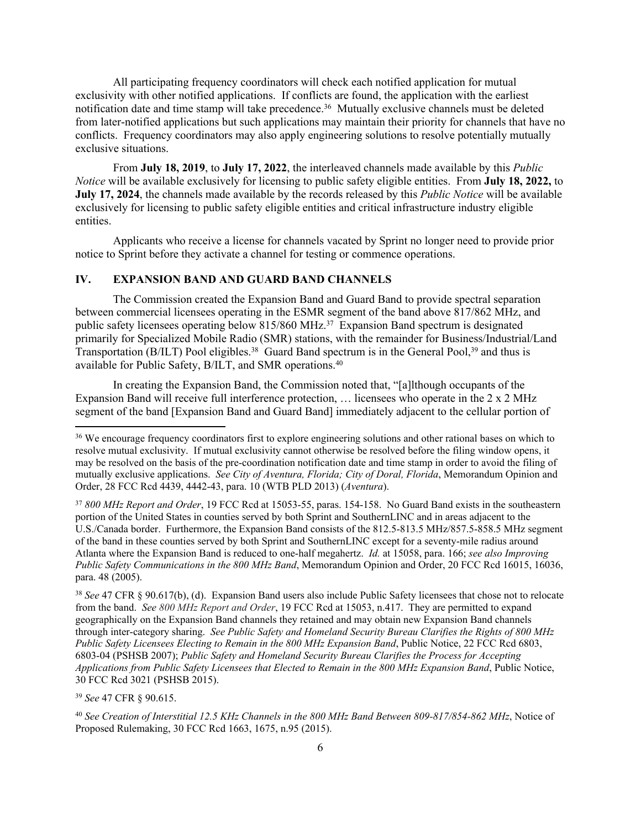All participating frequency coordinators will check each notified application for mutual exclusivity with other notified applications. If conflicts are found, the application with the earliest notification date and time stamp will take precedence.<sup>36</sup> Mutually exclusive channels must be deleted from later-notified applications but such applications may maintain their priority for channels that have no conflicts. Frequency coordinators may also apply engineering solutions to resolve potentially mutually exclusive situations.

From **July 18, 2019**, to **July 17, 2022**, the interleaved channels made available by this *Public Notice* will be available exclusively for licensing to public safety eligible entities. From **July 18, 2022,** to **July 17, 2024**, the channels made available by the records released by this *Public Notice* will be available exclusively for licensing to public safety eligible entities and critical infrastructure industry eligible entities.

Applicants who receive a license for channels vacated by Sprint no longer need to provide prior notice to Sprint before they activate a channel for testing or commence operations.

#### **IV. EXPANSION BAND AND GUARD BAND CHANNELS**

The Commission created the Expansion Band and Guard Band to provide spectral separation between commercial licensees operating in the ESMR segment of the band above 817/862 MHz, and public safety licensees operating below 815/860 MHz.<sup>37</sup> Expansion Band spectrum is designated primarily for Specialized Mobile Radio (SMR) stations, with the remainder for Business/Industrial/Land Transportation (B/ILT) Pool eligibles.<sup>38</sup> Guard Band spectrum is in the General Pool,<sup>39</sup> and thus is available for Public Safety, B/ILT, and SMR operations.<sup>40</sup>

In creating the Expansion Band, the Commission noted that, "[a]lthough occupants of the Expansion Band will receive full interference protection, … licensees who operate in the 2 x 2 MHz segment of the band [Expansion Band and Guard Band] immediately adjacent to the cellular portion of

<sup>37</sup> *800 MHz Report and Order*, 19 FCC Rcd at 15053-55, paras. 154-158. No Guard Band exists in the southeastern portion of the United States in counties served by both Sprint and SouthernLINC and in areas adjacent to the U.S./Canada border. Furthermore, the Expansion Band consists of the 812.5-813.5 MHz/857.5-858.5 MHz segment of the band in these counties served by both Sprint and SouthernLINC except for a seventy-mile radius around Atlanta where the Expansion Band is reduced to one-half megahertz. *Id.* at 15058, para. 166; *see also Improving Public Safety Communications in the 800 MHz Band*, Memorandum Opinion and Order, 20 FCC Rcd 16015, 16036, para. 48 (2005).

<sup>38</sup> *See* 47 CFR § 90.617(b), (d). Expansion Band users also include Public Safety licensees that chose not to relocate from the band. *See 800 MHz Report and Order*, 19 FCC Rcd at 15053, n.417. They are permitted to expand geographically on the Expansion Band channels they retained and may obtain new Expansion Band channels through inter-category sharing. *See Public Safety and Homeland Security Bureau Clarifies the Rights of 800 MHz Public Safety Licensees Electing to Remain in the 800 MHz Expansion Band*, Public Notice, 22 FCC Rcd 6803, 6803-04 (PSHSB 2007); *Public Safety and Homeland Security Bureau Clarifies the Process for Accepting Applications from Public Safety Licensees that Elected to Remain in the 800 MHz Expansion Band*, Public Notice, 30 FCC Rcd 3021 (PSHSB 2015).

<sup>39</sup> *See* 47 CFR § 90.615.

<sup>&</sup>lt;sup>36</sup> We encourage frequency coordinators first to explore engineering solutions and other rational bases on which to resolve mutual exclusivity. If mutual exclusivity cannot otherwise be resolved before the filing window opens, it may be resolved on the basis of the pre-coordination notification date and time stamp in order to avoid the filing of mutually exclusive applications. *See City of Aventura, Florida; City of Doral, Florida*, Memorandum Opinion and Order, 28 FCC Rcd 4439, 4442-43, para. 10 (WTB PLD 2013) (*Aventura*).

<sup>40</sup> *See Creation of Interstitial 12.5 KHz Channels in the 800 MHz Band Between 809-817/854-862 MHz*, Notice of Proposed Rulemaking, 30 FCC Rcd 1663, 1675, n.95 (2015).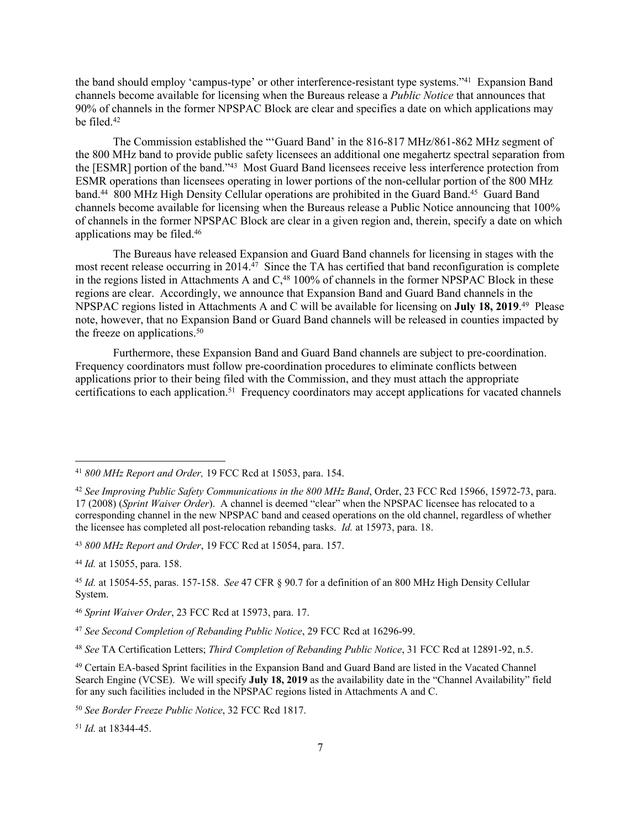the band should employ 'campus-type' or other interference-resistant type systems."<sup>41</sup> Expansion Band channels become available for licensing when the Bureaus release a *Public Notice* that announces that 90% of channels in the former NPSPAC Block are clear and specifies a date on which applications may be filed.<sup>42</sup>

The Commission established the "'Guard Band' in the 816-817 MHz/861-862 MHz segment of the 800 MHz band to provide public safety licensees an additional one megahertz spectral separation from the [ESMR] portion of the band."<sup>43</sup> Most Guard Band licensees receive less interference protection from ESMR operations than licensees operating in lower portions of the non-cellular portion of the 800 MHz band.<sup>44</sup> 800 MHz High Density Cellular operations are prohibited in the Guard Band.<sup>45</sup> Guard Band channels become available for licensing when the Bureaus release a Public Notice announcing that 100% of channels in the former NPSPAC Block are clear in a given region and, therein, specify a date on which applications may be filed.<sup>46</sup>

The Bureaus have released Expansion and Guard Band channels for licensing in stages with the most recent release occurring in 2014.<sup> $\bar{4}$ 7</sup> Since the TA has certified that band reconfiguration is complete in the regions listed in Attachments A and  $C<sub>18</sub>$  100% of channels in the former NPSPAC Block in these regions are clear. Accordingly, we announce that Expansion Band and Guard Band channels in the NPSPAC regions listed in Attachments A and C will be available for licensing on **July 18, 2019**. <sup>49</sup> Please note, however, that no Expansion Band or Guard Band channels will be released in counties impacted by the freeze on applications.<sup>50</sup>

Furthermore, these Expansion Band and Guard Band channels are subject to pre-coordination. Frequency coordinators must follow pre-coordination procedures to eliminate conflicts between applications prior to their being filed with the Commission, and they must attach the appropriate certifications to each application.<sup>51</sup> Frequency coordinators may accept applications for vacated channels

<sup>43</sup> *800 MHz Report and Order*, 19 FCC Rcd at 15054, para. 157.

<sup>44</sup> *Id.* at 15055, para. 158.

<sup>48</sup> *See* TA Certification Letters; *Third Completion of Rebanding Public Notice*, 31 FCC Rcd at 12891-92, n.5.

<sup>51</sup> *Id.* at 18344-45.

<sup>41</sup> *800 MHz Report and Order,* 19 FCC Rcd at 15053, para. 154.

<sup>42</sup> *See Improving Public Safety Communications in the 800 MHz Band*, Order, 23 FCC Rcd 15966, 15972-73, para. 17 (2008) (*Sprint Waiver Order*). A channel is deemed "clear" when the NPSPAC licensee has relocated to a corresponding channel in the new NPSPAC band and ceased operations on the old channel, regardless of whether the licensee has completed all post-relocation rebanding tasks. *Id.* at 15973, para. 18.

<sup>45</sup> *Id.* at 15054-55, paras. 157-158. *See* 47 CFR § 90.7 for a definition of an 800 MHz High Density Cellular System.

<sup>46</sup> *Sprint Waiver Order*, 23 FCC Rcd at 15973, para. 17.

<sup>47</sup> *See Second Completion of Rebanding Public Notice*, 29 FCC Rcd at 16296-99.

<sup>49</sup> Certain EA-based Sprint facilities in the Expansion Band and Guard Band are listed in the Vacated Channel Search Engine (VCSE). We will specify **July 18, 2019** as the availability date in the "Channel Availability" field for any such facilities included in the NPSPAC regions listed in Attachments A and C.

<sup>50</sup> *See Border Freeze Public Notice*, 32 FCC Rcd 1817.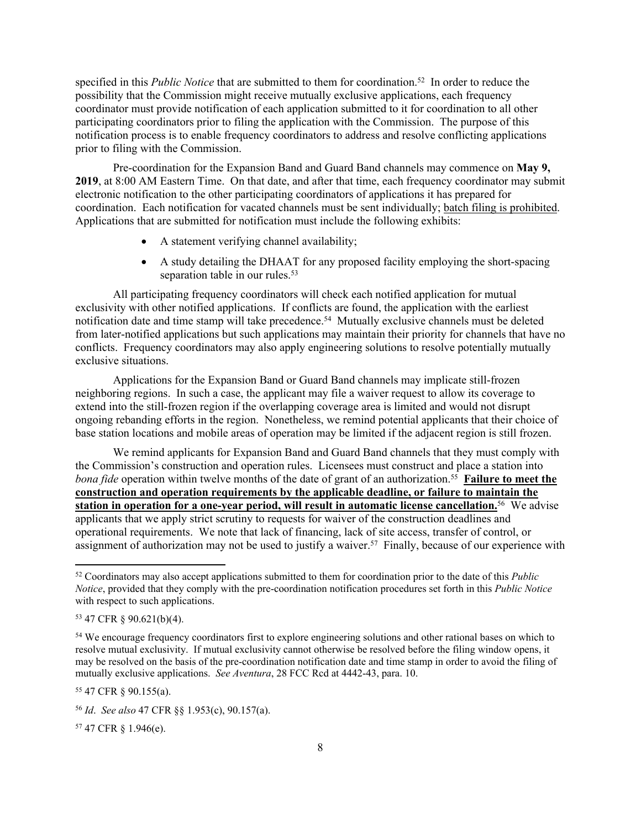specified in this *Public Notice* that are submitted to them for coordination.<sup>52</sup> In order to reduce the possibility that the Commission might receive mutually exclusive applications, each frequency coordinator must provide notification of each application submitted to it for coordination to all other participating coordinators prior to filing the application with the Commission. The purpose of this notification process is to enable frequency coordinators to address and resolve conflicting applications prior to filing with the Commission.

Pre-coordination for the Expansion Band and Guard Band channels may commence on **May 9, 2019**, at 8:00 AM Eastern Time. On that date, and after that time, each frequency coordinator may submit electronic notification to the other participating coordinators of applications it has prepared for coordination. Each notification for vacated channels must be sent individually; batch filing is prohibited. Applications that are submitted for notification must include the following exhibits:

- A statement verifying channel availability;
- A study detailing the DHAAT for any proposed facility employing the short-spacing separation table in our rules.<sup>53</sup>

All participating frequency coordinators will check each notified application for mutual exclusivity with other notified applications. If conflicts are found, the application with the earliest notification date and time stamp will take precedence.<sup>54</sup> Mutually exclusive channels must be deleted from later-notified applications but such applications may maintain their priority for channels that have no conflicts. Frequency coordinators may also apply engineering solutions to resolve potentially mutually exclusive situations.

Applications for the Expansion Band or Guard Band channels may implicate still-frozen neighboring regions. In such a case, the applicant may file a waiver request to allow its coverage to extend into the still-frozen region if the overlapping coverage area is limited and would not disrupt ongoing rebanding efforts in the region. Nonetheless, we remind potential applicants that their choice of base station locations and mobile areas of operation may be limited if the adjacent region is still frozen.

We remind applicants for Expansion Band and Guard Band channels that they must comply with the Commission's construction and operation rules. Licensees must construct and place a station into bona fide operation within twelve months of the date of grant of an authorization.<sup>55</sup> Failure to meet the **construction and operation requirements by the applicable deadline, or failure to maintain the station in operation for a one-year period, will result in automatic license cancellation.**<sup>56</sup> We advise applicants that we apply strict scrutiny to requests for waiver of the construction deadlines and operational requirements. We note that lack of financing, lack of site access, transfer of control, or assignment of authorization may not be used to justify a waiver.<sup>57</sup> Finally, because of our experience with

<sup>55</sup> 47 CFR § 90.155(a).

57 47 CFR § 1.946(e).

<sup>52</sup> Coordinators may also accept applications submitted to them for coordination prior to the date of this *Public Notice*, provided that they comply with the pre-coordination notification procedures set forth in this *Public Notice* with respect to such applications.

<sup>53</sup> 47 CFR § 90.621(b)(4).

<sup>54</sup> We encourage frequency coordinators first to explore engineering solutions and other rational bases on which to resolve mutual exclusivity. If mutual exclusivity cannot otherwise be resolved before the filing window opens, it may be resolved on the basis of the pre-coordination notification date and time stamp in order to avoid the filing of mutually exclusive applications. *See Aventura*, 28 FCC Rcd at 4442-43, para. 10.

<sup>56</sup> *Id*. *See also* 47 CFR §§ 1.953(c), 90.157(a).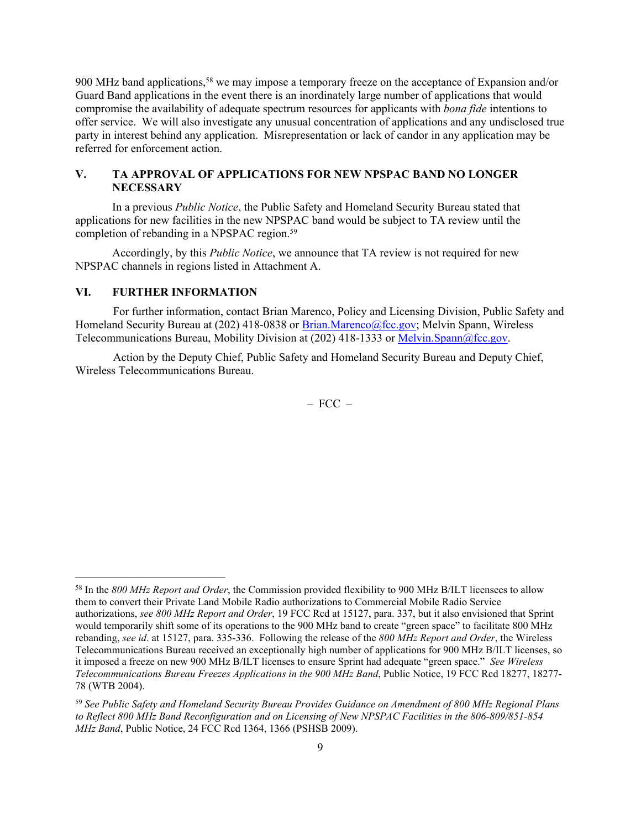900 MHz band applications,<sup>58</sup> we may impose a temporary freeze on the acceptance of Expansion and/or Guard Band applications in the event there is an inordinately large number of applications that would compromise the availability of adequate spectrum resources for applicants with *bona fide* intentions to offer service. We will also investigate any unusual concentration of applications and any undisclosed true party in interest behind any application. Misrepresentation or lack of candor in any application may be referred for enforcement action.

### **V. TA APPROVAL OF APPLICATIONS FOR NEW NPSPAC BAND NO LONGER NECESSARY**

In a previous *Public Notice*, the Public Safety and Homeland Security Bureau stated that applications for new facilities in the new NPSPAC band would be subject to TA review until the completion of rebanding in a NPSPAC region.<sup>59</sup>

Accordingly, by this *Public Notice*, we announce that TA review is not required for new NPSPAC channels in regions listed in Attachment A.

#### **VI. FURTHER INFORMATION**

For further information, contact Brian Marenco, Policy and Licensing Division, Public Safety and Homeland Security Bureau at (202) 418-0838 or [Brian.Marenco@fcc.gov;](mailto:Brian.Marenco@fcc.gov) Melvin Spann, Wireless Telecommunications Bureau, Mobility Division at (202) 418-1333 or [Melvin.Spann@fcc.gov](mailto:Melvin.Spann@fcc.gov).

Action by the Deputy Chief, Public Safety and Homeland Security Bureau and Deputy Chief, Wireless Telecommunications Bureau.

 $-$  FCC  $-$ 

<sup>58</sup> In the *800 MHz Report and Order*, the Commission provided flexibility to 900 MHz B/ILT licensees to allow them to convert their Private Land Mobile Radio authorizations to Commercial Mobile Radio Service authorizations, *see 800 MHz Report and Order*, 19 FCC Rcd at 15127, para. 337, but it also envisioned that Sprint would temporarily shift some of its operations to the 900 MHz band to create "green space" to facilitate 800 MHz rebanding, *see id*. at 15127, para. 335-336. Following the release of the *800 MHz Report and Order*, the Wireless Telecommunications Bureau received an exceptionally high number of applications for 900 MHz B/ILT licenses, so it imposed a freeze on new 900 MHz B/ILT licenses to ensure Sprint had adequate "green space." *See Wireless Telecommunications Bureau Freezes Applications in the 900 MHz Band*, Public Notice, 19 FCC Rcd 18277, 18277- 78 (WTB 2004).

<sup>59</sup> *See Public Safety and Homeland Security Bureau Provides Guidance on Amendment of 800 MHz Regional Plans to Reflect 800 MHz Band Reconfiguration and on Licensing of New NPSPAC Facilities in the 806-809/851-854 MHz Band*, Public Notice, 24 FCC Rcd 1364, 1366 (PSHSB 2009).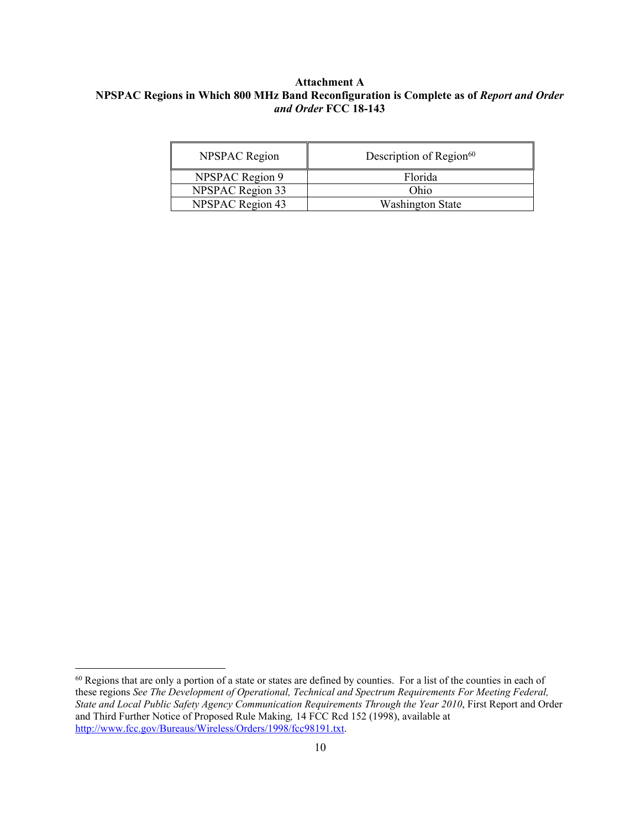#### **Attachment A NPSPAC Regions in Which 800 MHz Band Reconfiguration is Complete as of** *Report and Order and Order* **FCC 18-143**

| <b>NPSPAC</b> Region    | Description of Region <sup>60</sup> |
|-------------------------|-------------------------------------|
| <b>NPSPAC Region 9</b>  | Florida                             |
| <b>NPSPAC Region 33</b> | Ohio                                |
| NPSPAC Region 43        | <b>Washington State</b>             |

<sup>&</sup>lt;sup>60</sup> Regions that are only a portion of a state or states are defined by counties. For a list of the counties in each of these regions *See The Development of Operational, Technical and Spectrum Requirements For Meeting Federal, State and Local Public Safety Agency Communication Requirements Through the Year 2010*, First Report and Order and Third Further Notice of Proposed Rule Making*,* 14 FCC Rcd 152 (1998), available at [http://www.fcc.gov/Bureaus/Wireless/Orders/1998/fcc98191.txt.](http://www.fcc.gov/Bureaus/Wireless/Orders/1998/fcc98191.pdf)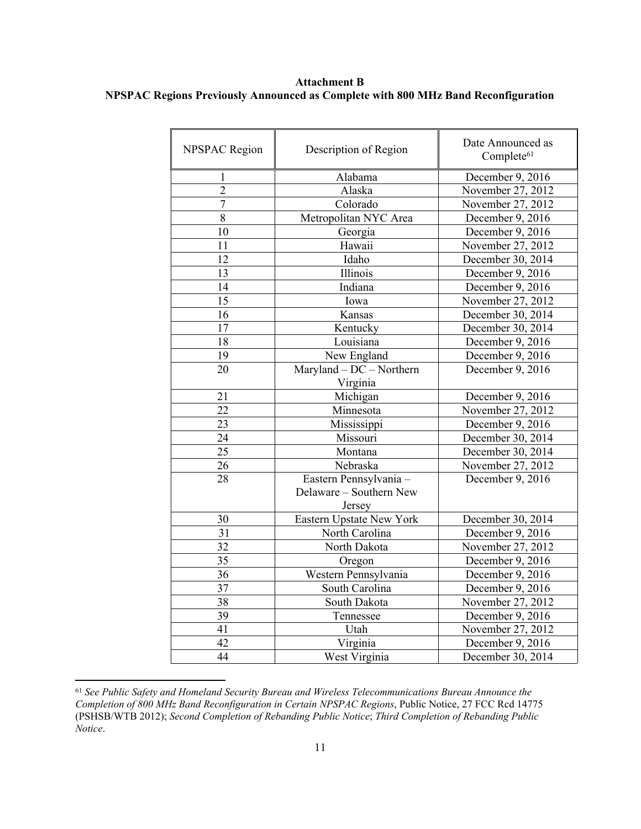**Attachment B NPSPAC Regions Previously Announced as Complete with 800 MHz Band Reconfiguration**

| <b>NPSPAC Region</b> | Description of Region                                       | Date Announced as<br>Complete <sup>61</sup> |
|----------------------|-------------------------------------------------------------|---------------------------------------------|
| 1                    | Alabama                                                     | December 9, 2016                            |
| $\overline{2}$       | Alaska                                                      | November 27, 2012                           |
| $\overline{7}$       | Colorado                                                    | November 27, 2012                           |
| 8                    | Metropolitan NYC Area                                       | December 9, 2016                            |
| 10                   | Georgia                                                     | December 9, 2016                            |
| 11                   | Hawaii                                                      | November 27, 2012                           |
| 12                   | Idaho                                                       | December 30, 2014                           |
| 13                   | Illinois                                                    | December 9, 2016                            |
| 14                   | Indiana                                                     | December 9, 2016                            |
| 15                   | Iowa                                                        | November 27, 2012                           |
| 16                   | Kansas                                                      | December 30, 2014                           |
| 17                   | Kentucky                                                    | December 30, 2014                           |
| 18                   | Louisiana                                                   | December 9, 2016                            |
| 19                   | New England                                                 | December 9, $2016$                          |
| 20                   | $Maryland - DC - Northern$                                  | December 9, 2016                            |
|                      | Virginia                                                    |                                             |
| 21                   | Michigan                                                    | December 9, 2016                            |
| 22                   | Minnesota                                                   | November 27, 2012                           |
| 23                   | Mississippi                                                 | December 9, 2016                            |
| 24                   | Missouri                                                    | December 30, 2014                           |
| 25                   | Montana                                                     | December 30, 2014                           |
| 26                   | Nebraska                                                    | November 27, 2012                           |
| 28                   | Eastern Pennsylvania -<br>Delaware - Southern New<br>Jersey | December 9, 2016                            |
| 30                   | Eastern Upstate New York                                    | December 30, 2014                           |
| 31                   | North Carolina                                              | December 9, 2016                            |
| 32                   | North Dakota                                                | November 27, 2012                           |
| 35                   | Oregon                                                      | December 9, 2016                            |
| 36                   | Western Pennsylvania                                        | December 9, 2016                            |
| 37                   | South Carolina                                              | December 9, 2016                            |
| 38                   | South Dakota                                                | November 27, 2012                           |
| 39                   | Tennessee                                                   | December 9, 2016                            |
| 41                   | Utah                                                        | November 27, 2012                           |
| 42                   | Virginia                                                    | December 9, 2016                            |
| 44                   | West Virginia                                               | December 30, 2014                           |

<sup>61</sup> *See Public Safety and Homeland Security Bureau and Wireless Telecommunications Bureau Announce the Completion of 800 MHz Band Reconfiguration in Certain NPSPAC Regions*, Public Notice, 27 FCC Rcd 14775 (PSHSB/WTB 2012); *Second Completion of Rebanding Public Notice*; *Third Completion of Rebanding Public Notice*.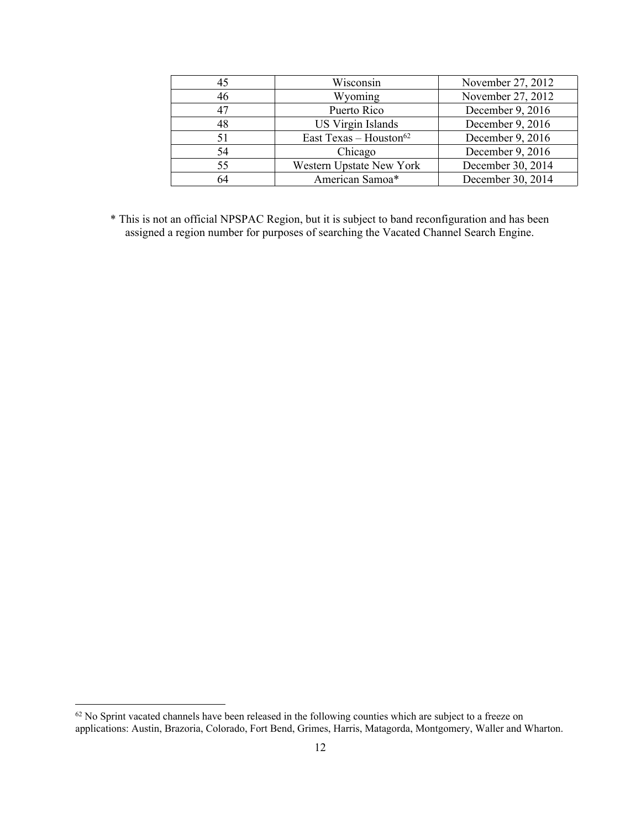| 45 | Wisconsin                          | November 27, 2012 |
|----|------------------------------------|-------------------|
| 46 | Wyoming                            | November 27, 2012 |
| 47 | Puerto Rico                        | December 9, 2016  |
| 48 | <b>US Virgin Islands</b>           | December 9, 2016  |
| 51 | East Texas - Houston <sup>62</sup> | December 9, 2016  |
| 54 | Chicago                            | December 9, 2016  |
| 55 | Western Upstate New York           | December 30, 2014 |
| 64 | American Samoa*                    | December 30, 2014 |

\* This is not an official NPSPAC Region, but it is subject to band reconfiguration and has been assigned a region number for purposes of searching the Vacated Channel Search Engine.

<sup>&</sup>lt;sup>62</sup> No Sprint vacated channels have been released in the following counties which are subject to a freeze on applications: Austin, Brazoria, Colorado, Fort Bend, Grimes, Harris, Matagorda, Montgomery, Waller and Wharton.